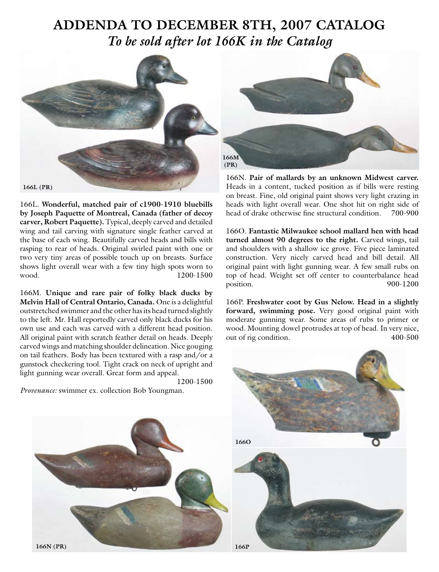## **ADDENDA TO DECEMBER 8TH, 2007 CATALOG**  *To be sold after lot 166K in the Catalog*



166L. **Wonderful, matched pair of c1900-1910 bluebills by Joseph Paquette of Montreal, Canada (father of decoy carver, Robert Paquette).** Typical, deeply carved and detailed wing and tail carving with signature single feather carved at the base of each wing. Beautifully carved heads and bills with rasping to rear of heads. Original swirled paint with one or two very tiny areas of possible touch up on breasts. Surface shows light overall wear with a few tiny high spots worn to wood. 1200-1500

166M. **Unique and rare pair of folky black ducks by Melvin Hall of Central Ontario, Canada.** One is a delightful outstretched swimmer and the other has its head turned slightly to the left. Mr. Hall reportedly carved only black ducks for his own use and each was carved with a different head position. All original paint with scratch feather detail on heads. Deeply carved wings and matching shoulder delineation. Nice gouging on tail feathers. Body has been textured with a rasp and/or a gunstock checkering tool. Tight crack on neck of upright and light gunning wear overall. Great form and appeal.

1200-1500

*Provenance:* swimmer ex. collection Bob Youngman.



166N. **Pair of mallards by an unknown Midwest carver.**  Heads in a content, tucked position as if bills were resting on breast. Fine, old original paint shows very light crazing in heads with light overall wear. One shot hit on right side of head of drake otherwise fine structural condition. 700-900

166O. **Fantastic Milwaukee school mallard hen with head turned almost 90 degrees to the right.** Carved wings, tail and shoulders with a shallow ice grove. Five piece laminated construction. Very nicely carved head and bill detail. All original paint with light gunning wear. A few small rubs on top of head. Weight set off center to counterbalance head position. 900-1200

166P. **Freshwater coot by Gus Nelow. Head in a slightly forward, swimming pose.** Very good original paint with moderate gunning wear. Some areas of rubs to primer or wood. Mounting dowel protrudes at top of head. In very nice, out of rig condition. 400-500